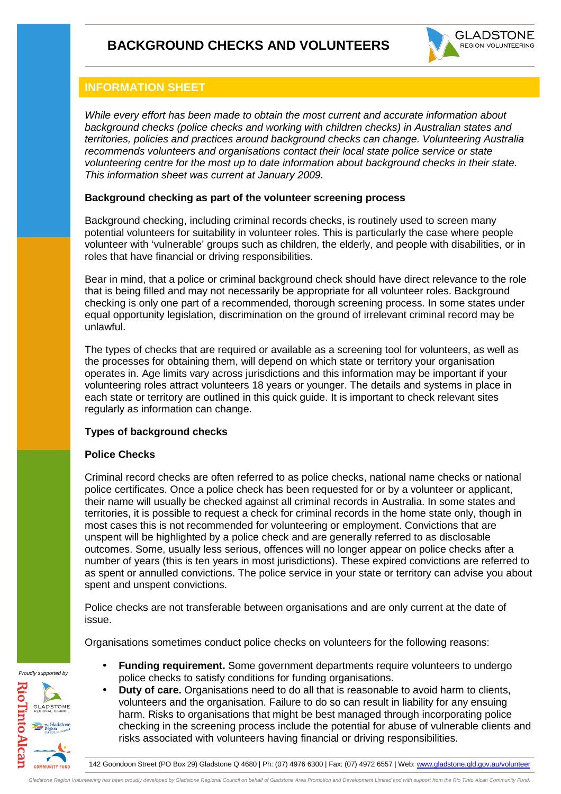

### **INFORMATION SHEET**

While every effort has been made to obtain the most current and accurate information about background checks (police checks and working with children checks) in Australian states and territories, policies and practices around background checks can change. Volunteering Australia recommends volunteers and organisations contact their local state police service or state volunteering centre for the most up to date information about background checks in their state. This information sheet was current at January 2009.

#### **Background checking as part of the volunteer screening process**

Background checking, including criminal records checks, is routinely used to screen many potential volunteers for suitability in volunteer roles. This is particularly the case where people volunteer with 'vulnerable' groups such as children, the elderly, and people with disabilities, or in roles that have financial or driving responsibilities.

Bear in mind, that a police or criminal background check should have direct relevance to the role that is being filled and may not necessarily be appropriate for all volunteer roles. Background checking is only one part of a recommended, thorough screening process. In some states under equal opportunity legislation, discrimination on the ground of irrelevant criminal record may be unlawful.

The types of checks that are required or available as a screening tool for volunteers, as well as the processes for obtaining them, will depend on which state or territory your organisation operates in. Age limits vary across jurisdictions and this information may be important if your volunteering roles attract volunteers 18 years or younger. The details and systems in place in each state or territory are outlined in this quick guide. It is important to check relevant sites regularly as information can change.

#### **Types of background checks**

#### **Police Checks**

Criminal record checks are often referred to as police checks, national name checks or national police certificates. Once a police check has been requested for or by a volunteer or applicant, their name will usually be checked against all criminal records in Australia. In some states and territories, it is possible to request a check for criminal records in the home state only, though in most cases this is not recommended for volunteering or employment. Convictions that are unspent will be highlighted by a police check and are generally referred to as disclosable outcomes. Some, usually less serious, offences will no longer appear on police checks after a number of years (this is ten years in most jurisdictions). These expired convictions are referred to as spent or annulled convictions. The police service in your state or territory can advise you about spent and unspent convictions.

Police checks are not transferable between organisations and are only current at the date of issue.

Organisations sometimes conduct police checks on volunteers for the following reasons:

**COMMUNITY FUND** 

Proudly supported by

- **Funding requirement.** Some government departments require volunteers to undergo police checks to satisfy conditions for funding organisations. • **Duty of care.** Organisations need to do all that is reasonable to avoid harm to clients,
- volunteers and the organisation. Failure to do so can result in liability for any ensuing harm. Risks to organisations that might be best managed through incorporating police checking in the screening process include the potential for abuse of vulnerable clients and risks associated with volunteers having financial or driving responsibilities.

142 Goondoon Street (PO Box 29) Gladstone Q 4680 | Ph: (07) 4976 6300 | Fax: (07) 4972 6557 | Web: www.gladstone.qld.gov.au/volunteer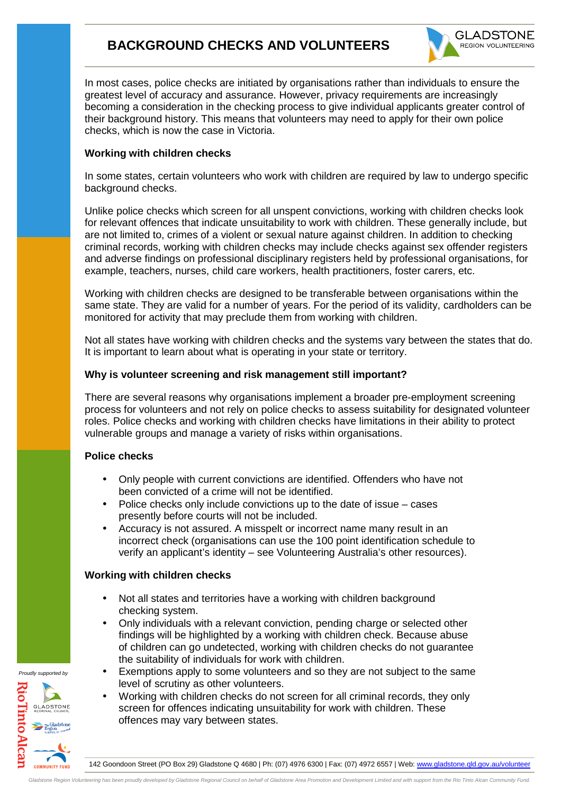## **BACKGROUND CHECKS AND VOLUNTEERS**



In most cases, police checks are initiated by organisations rather than individuals to ensure the greatest level of accuracy and assurance. However, privacy requirements are increasingly becoming a consideration in the checking process to give individual applicants greater control of their background history. This means that volunteers may need to apply for their own police checks, which is now the case in Victoria.

#### **Working with children checks**

In some states, certain volunteers who work with children are required by law to undergo specific background checks.

Unlike police checks which screen for all unspent convictions, working with children checks look for relevant offences that indicate unsuitability to work with children. These generally include, but are not limited to, crimes of a violent or sexual nature against children. In addition to checking criminal records, working with children checks may include checks against sex offender registers and adverse findings on professional disciplinary registers held by professional organisations, for example, teachers, nurses, child care workers, health practitioners, foster carers, etc.

Working with children checks are designed to be transferable between organisations within the same state. They are valid for a number of years. For the period of its validity, cardholders can be monitored for activity that may preclude them from working with children.

Not all states have working with children checks and the systems vary between the states that do. It is important to learn about what is operating in your state or territory.

#### **Why is volunteer screening and risk management still important?**

There are several reasons why organisations implement a broader pre-employment screening process for volunteers and not rely on police checks to assess suitability for designated volunteer roles. Police checks and working with children checks have limitations in their ability to protect vulnerable groups and manage a variety of risks within organisations.

#### **Police checks**

- Only people with current convictions are identified. Offenders who have not been convicted of a crime will not be identified.
- Police checks only include convictions up to the date of issue cases presently before courts will not be included.
- Accuracy is not assured. A misspelt or incorrect name many result in an incorrect check (organisations can use the 100 point identification schedule to verify an applicant's identity – see Volunteering Australia's other resources).

#### **Working with children checks**

- Not all states and territories have a working with children background checking system.
- Only individuals with a relevant conviction, pending charge or selected other findings will be highlighted by a working with children check. Because abuse of children can go undetected, working with children checks do not guarantee the suitability of individuals for work with children.
- Exemptions apply to some volunteers and so they are not subject to the same level of scrutiny as other volunteers.
- Working with children checks do not screen for all criminal records, they only screen for offences indicating unsuitability for work with children. These offences may vary between states.

Proudly supported by